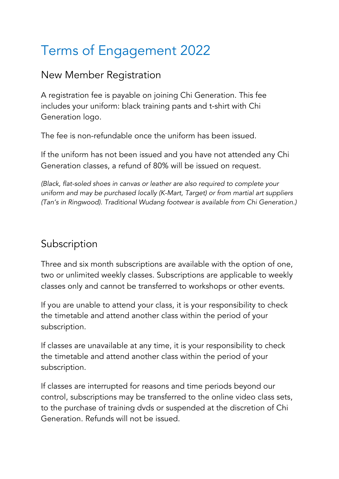# Terms of Engagement 2022

#### New Member Registration

A registration fee is payable on joining Chi Generation. This fee includes your uniform: black training pants and t-shirt with Chi Generation logo.

The fee is non-refundable once the uniform has been issued.

If the uniform has not been issued and you have not attended any Chi Generation classes, a refund of 80% will be issued on request.

*(Black, flat-soled shoes in canvas or leather are also required to complete your uniform and may be purchased locally (K-Mart, Target) or from martial art suppliers (Tan's in Ringwood). Traditional Wudang footwear is available from Chi Generation.)*

# Subscription

Three and six month subscriptions are available with the option of one, two or unlimited weekly classes. Subscriptions are applicable to weekly classes only and cannot be transferred to workshops or other events.

If you are unable to attend your class, it is your responsibility to check the timetable and attend another class within the period of your subscription.

If classes are unavailable at any time, it is your responsibility to check the timetable and attend another class within the period of your subscription.

If classes are interrupted for reasons and time periods beyond our control, subscriptions may be transferred to the online video class sets, to the purchase of training dvds or suspended at the discretion of Chi Generation. Refunds will not be issued.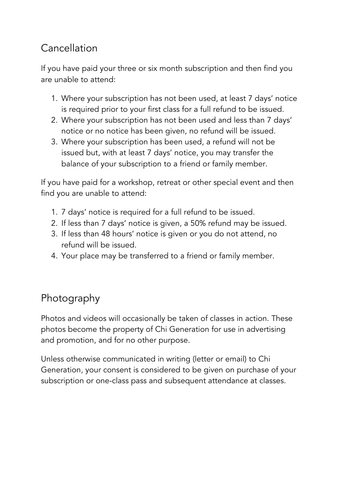# Cancellation

If you have paid your three or six month subscription and then find you are unable to attend:

- 1. Where your subscription has not been used, at least 7 days' notice is required prior to your first class for a full refund to be issued.
- 2. Where your subscription has not been used and less than 7 days' notice or no notice has been given, no refund will be issued.
- 3. Where your subscription has been used, a refund will not be issued but, with at least 7 days' notice, you may transfer the balance of your subscription to a friend or family member.

If you have paid for a workshop, retreat or other special event and then find you are unable to attend:

- 1. 7 days' notice is required for a full refund to be issued.
- 2. If less than 7 days' notice is given, a 50% refund may be issued.
- 3. If less than 48 hours' notice is given or you do not attend, no refund will be issued.
- 4. Your place may be transferred to a friend or family member.

## Photography

Photos and videos will occasionally be taken of classes in action. These photos become the property of Chi Generation for use in advertising and promotion, and for no other purpose.

Unless otherwise communicated in writing (letter or email) to Chi Generation, your consent is considered to be given on purchase of your subscription or one-class pass and subsequent attendance at classes.